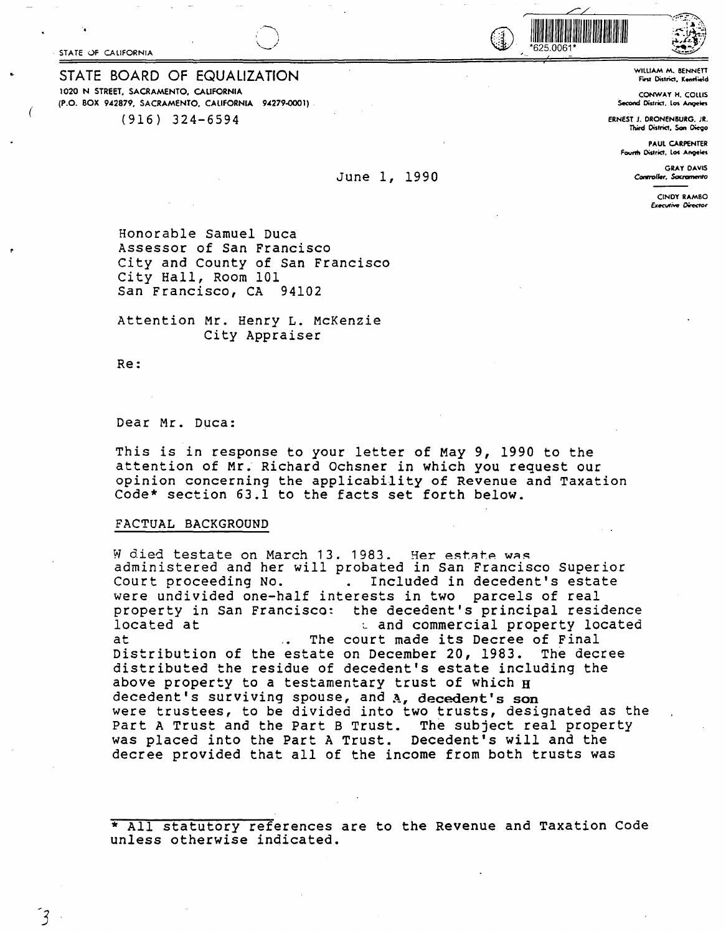STATE OF CALIFORNIA

STATE BOARD OF EQUALIZATION 1020 **N STREET. SACRAMENTO, CALIFORNIA (P.O. BOX 942879, SACRAMENTO, CALIFORNIA 94279-0001)** 

(916) 324-6594

#### June 1, 1990

if the contract of the contract of the contract of the contract of the contract of the contract of the contract of the contract of the contract of the contract of the contract of the contract of the contract of the contra

WllUAM M. BENNETT **f"vv Cmtrict, K-ield** 

**CONWAY** H. COlLIS Second District. l01 **Angeles** 

ERNEST J. ORONENBURG, JR. Thitd District, **Son** Diego

> PAUL CARPENTER Fourth District, Los Angeles

> > **GRAY DAVIS** Controller, Sacram

> > > CINDY **RAMBO E,cecuti,,e** *Oir«tor*

Honorable Samuel Duca Assessor of San Francisco City and County of San Francisco City Hall, Room 101 San Francisco, CA 94102

Attention Mr. Henry L. McKenzie City Appraiser

Re:

Dear Mr. Duca:

This is in response to your letter of May 9, 1990 to the attention of Mr. Richard Ochsner in which you request our opinion concerning the applicability of Revenue and Taxation Code\* section 63.1 to the facts set forth below.

#### **FACTUAL BACKGROUND**

W died testate on March 13. 1983. Her estate was administered and her will probated in San Francisco Superior Court proceeding No. Included in decedent's estate were undivided one-half interests in two parcels of real property in San Francisco: the decedent's principal residence<br>located at the decedent's principal residence located at  $\begin{array}{r} \text{L} \text{ and commercial property located} \\ \text{at} \end{array}$ t The court made its Decree of Final<br>estate on December 20, 1983. The decree Distribution of the estate on December 20, 1983. distributed the residue of decedent's estate including the above property to a testamentary trust of which  $_H$ decedent's surviving spouse, and **A, decedent's son**  were trustees, to be divided into two trusts, designated as the Part A Trust and the Part B Trust. The subject real property was placed into the Part A Trust. Decedent's will and the decree provided that all of the income from both trusts was

\* All statutory references are to the Revenue and Taxation Code unless otherwise indicated.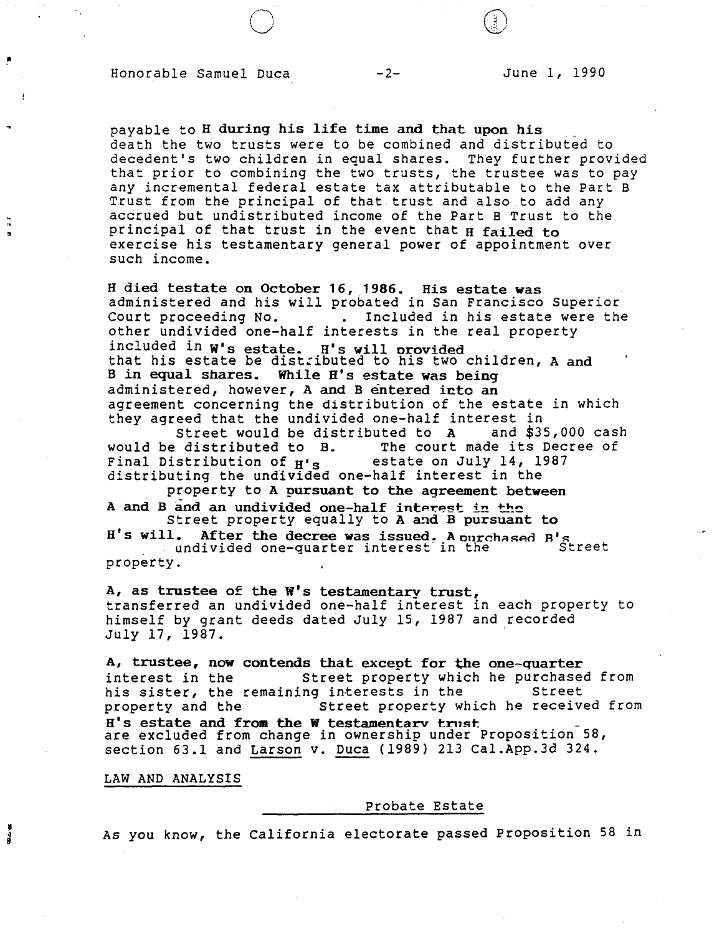# Honorable Samuel Duca -2-

/"--..,\_  $(\bigcup$ 

 $\widehat{(\mathcal{G})}$ *\l)* 

payable to H during his life time and that upon his \_ death the two trusts were to be combined and distributed to decedent's two children in equal shares. They further provided that prior to combining the two trusts, the trustee was to pay any incremental federal estate tax attributable to the Part B Trust from the principal of that trust and also to add any accrued but undistributed income of the Part B Trust to the principal of that trust in the event that H failed to exercise his testamentary general power of appointment over such income.

H died testate on October 16, **1986.** His estate was administered and his will probated in San Francisco Superior Included in his estate were the other undivided one-half interests in the real property included in W's estate. H's **will** orovided that his estate be distributed to his two children, A and Bin equal shares. While H's estate was being administered, however, A and B entered icto an agreement concerning the distribution of the estate in which they agreed that the undivided one-half interest in

Street would be distributed to A<br>would be distributed to B. The court The court made its Decree of<br>estate on July 14, 1987 Final Distribution of  $H's$ distributing the undivided one-half interest in the

property to **A pursuant to the agreement between**  A and B and an undivided one-half interest in the

Street property equally to A and B pursuant to H's will. After the decree was issued. A ourchased B' . After the decree was issued, Aburchased B's<br>undivided one-quarter interest in the Street

property.

,.

 $\frac{1}{15}$ 

A, as trustee of the  $W'$ s testamentary trust, transferred an undivided one-half interest in each property to himself by grant deeds dated July 15, 1987 and recorded July 17, 1987. .

A, trustee, now contends that except for the one-quarter<br>interest in the Street property which he purchased Street property which he purchased from<br>ng interests in the Street his sister, the remaining interests in the<br>property and the Street property where Street property which he received from H's estate and from the W testamentary trust.<br>are excluded from change in ownership under Proposition 58, section 63.1 and Larson v. Duca (1989) 213 Cal.App.3d 324.

**LAW AND ANALYSIS** 

#### Probate Estate

As you know, the California electorate passed Proposition 58 in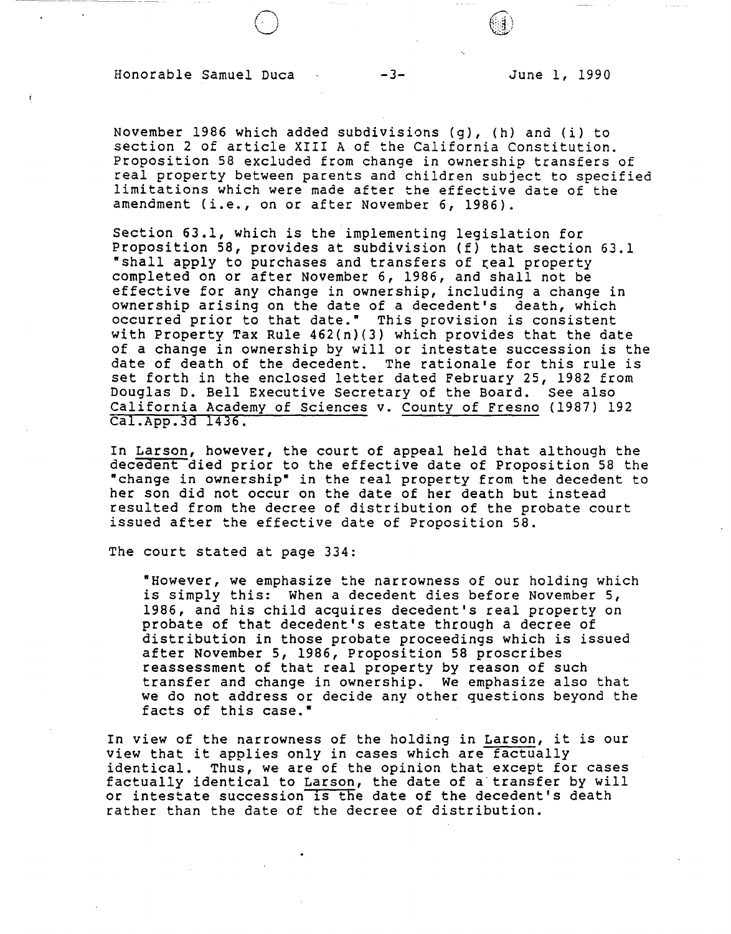### Honorable Samuel Duca -3- June 1, 1990

 $\bigodot$ 

November 1986 which added subdivisions (g), (h) and (i) to section 2 of article XIII A of the California Constitution. Proposition 58 excluded from change in ownership transfers of real property between parents and children subject to specified limitations which were made after the effective date of the amendment (i.e., on or after November 6, 1986).

Section 63.1, which is the implementing legislation for Proposition 58, provides at subdivision (f) that section 63.1 "shall apply to purchases and transfers of real property completed on or after November 6, 1986, and shall not be effective for any change in ownership, including a change in ownership arising on the date of a decedent's death, which occurred prior to that date." This provision is consistent with Property Tax Rule 462(n)(3) which provides that the date of a change in ownership by will or intestate succession is the date of death of the decedent. The rationale for this rule is set forth in the enclosed letter dated February 25, 1982 from Douglas D. Bell Executive Secretary of the Board. see also California Academy of Sciences v. County of Fresno (1987) 192 cal.App.3d 1436.

In Larson, however, the court of appeal held that although the decedent died prior to the effective date of Proposition 58 the "change in ownership" in the real property from the decedent to her son did not occur on the date of her death but instead resulted from the decree of distribution of the probate court issued after the effective date of Proposition 58.

The court stated at page 334:

"However, we emphasize the narrowness of our holding which is simply this: When a decedent dies before November 5, 1986, and his child acquires decedent's real property on probate of that decedent's estate through a decree of distribution in those probate proceedings which is issued after November 5, 1986, Proposition 58 proscribes reassessment of that real property by reason of such transfer and change in ownership. We emphasize also that we do not address or decide any other questions beyond the facts of this case."

In view of the narrowness of the holding in Larson, it is our view that it applies only in cases which are factually identical. Thus, we are of the opinion that except for cases factually identical to Larson, the date of a transfer by will or intestate succession 1s the date of the decedent's death rather than the date of the decree of distribution.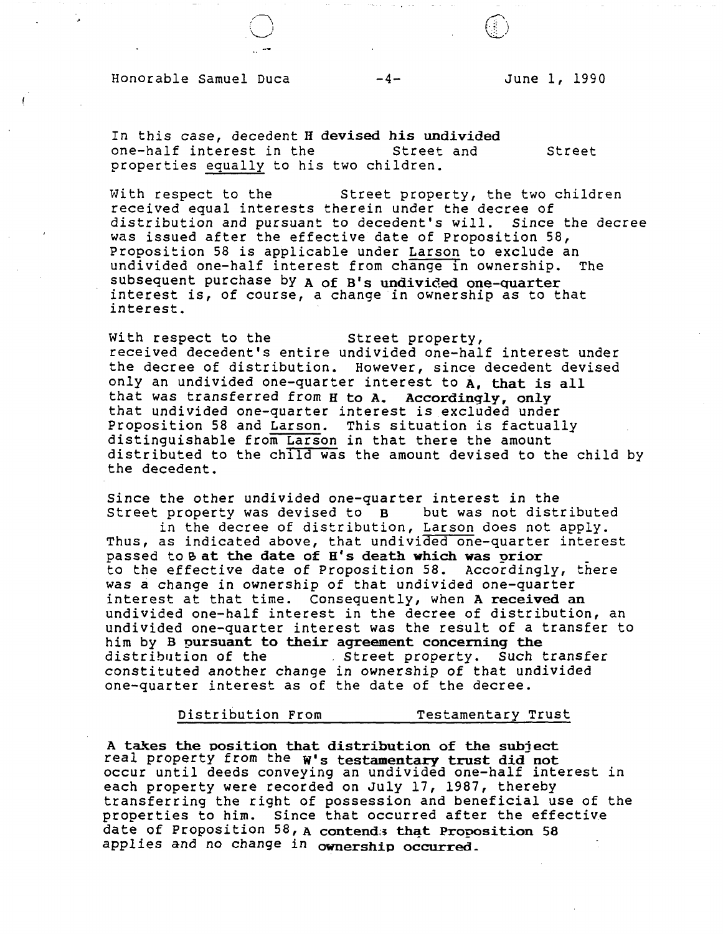## Honorable Samuel Duca  $-4-$

June 1, 1990

 $\textcircled{f}$ 

In this case, decedent **H devised his undivided**  one-half interest in the Street and Street properties equally to his two children.

With respect to the Street property, the two children received equal interests therein under the decree of distribution and pursuant to decedent's will. Since the decree was issued after the effective date of Proposition 58, Proposition 58 is applicable under Larson to exclude an undivided one-half interest from change in ownership. The undivided one-half interest from change in ownership. subsequent purchase by A of B's undivided one-quarter<br>interest is, of course, a change in ownership as to that interest.

With respect to the Street property, received decedent's entire undivided one-half interest under the decree of distribution. However, since decedent devised only an undivided one-quarter interest to **A, that** *is* all that was transferred from H to A. Accordingly, only that undivided one-quarter interest is excluded under Proposition 58 and Larson. This situation is factually distinguishable from Larson in that there the amount distributed to the child was the amount devised to the child by the decedent.

Since the other undivided one-quarter interest in the<br>Street property was devised to B but was not distributed Street property was devised to  $B$ 

in the decree of distribution, Larson does not apply. Thus, as indicated above, that undivided one-quarter interest<br>passed to B at the date of H's death which was orior to the effective date of Proposition 58. Accordingly, there was a change in ownership of that undivided one-quarter interest at that time. Consequently, when **A received an**  undivided one-half interest in the decree of distribution, an undivided one-quarter interest was the result of a transfer to him by B **9ursuant to their agreement concerning the**  distribution of the . Street property. such transfer constituted another change in ownership of that undivided one-quarter interest as of the date of the decree.

Distribution From Testamentary Trust

A takes the position that distribution of the subject real property from the W's testamentary trust did not occur until deeds conveying an undivided one-half interest in each property were recorded on July 17, 1987, thereby transferring the right of possession and beneficial use of the properties to him. Since that occurred after the effective date of Proposition 58, A contend: that Proposition 58 applies and no change in ownership occurred.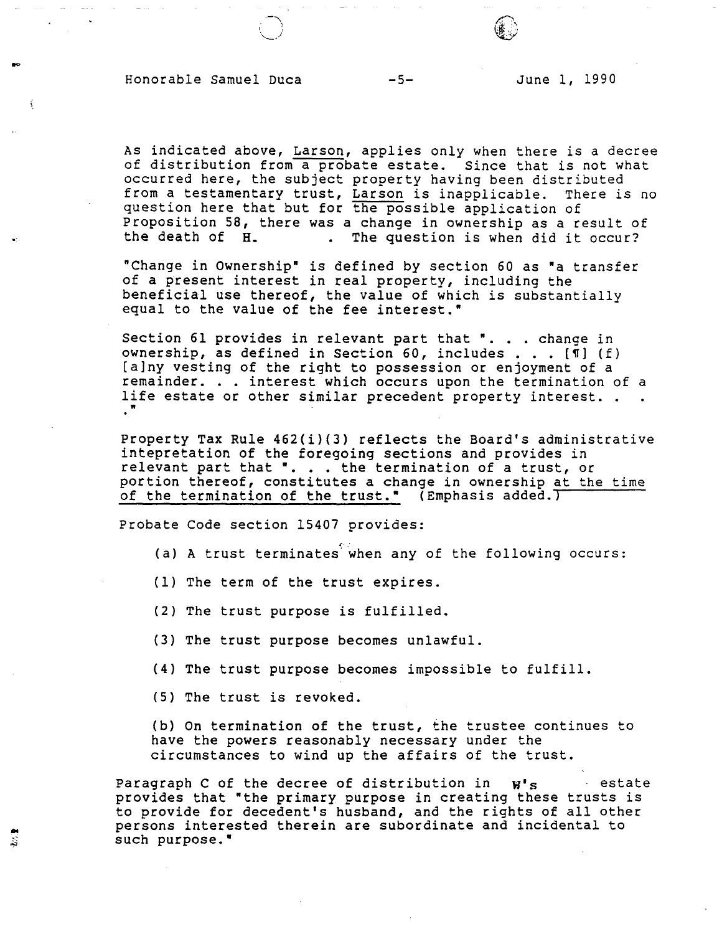# Honorable Samuel Duca -5- June 1, 1990

As indicated above, Larson, applies only when there is a decree of distribution from a probate estate. Since that is not what occurred here, the subject property having been distributed<br>from a testamentary trust, Larson is inapplicable. There is no from a testamentary trust, Larson is inapplicable. question here that but for the possible application of Proposition 58, there was a change in ownership as a result of<br>the death of H. . The question is when did it occur? . The question is when did it occur?

"Change in Ownership" is defined by section 60 as "a transfer of a present interest in real property, including the beneficial use thereof, the value of which is substantially equal to the value of the fee interest."

Section 61 provides in relevant part that \*... change in<br>Section 61 provides in relevant part that \*... change in Section 61 provides in relevant part that ". . . change in<br>ownership, as defined in Section 60, includes . . . [¶] (f)<br>[alpy vesting of the right to possession or enjoyment of a ownersnip, as derined in Section 60, includes . . . [4] (f)<br>[a]ny vesting of the right to possession or enjoyment of a<br>remainder. . . interest which occurs upon the termination of a<br>life estate or other similar presedent p remainder. . . interest which occurs upon the termination of a<br>life estate or other similar precedent property interest. . . "

Property Tax Rule 462(i)(3) reflects the Board's administrative intepretation of the foregoing sections and provides in relevant part that ". . . the termination of a trust, or portion thereof, constitutes a change in ownership at the time of the termination of the trust." (Emphasis added.)

Probate Code section 15407 provides:

- (a) A trust terminates when any of the following occurs:
- (1) The term of the trust expires.
- (2) The trust purpose is fulfilled.
- (3) The trust purpose becomes unlawful.
- (4) The trust purpose becomes impossible to fulfill.
- (5) The trust is revoked.

鸾

(b) On termination of the trust, the trustee continues to have the powers reasonably necessary under the circumstances to wind up the affairs of the trust.

Paragraph C of the decree of distribution in  $W'$ s estate provides that "the primary purpose in creating these trusts is to provide for decedent's husband, and the rights of all other persons interested therein are subordinate and incidental to such purpose."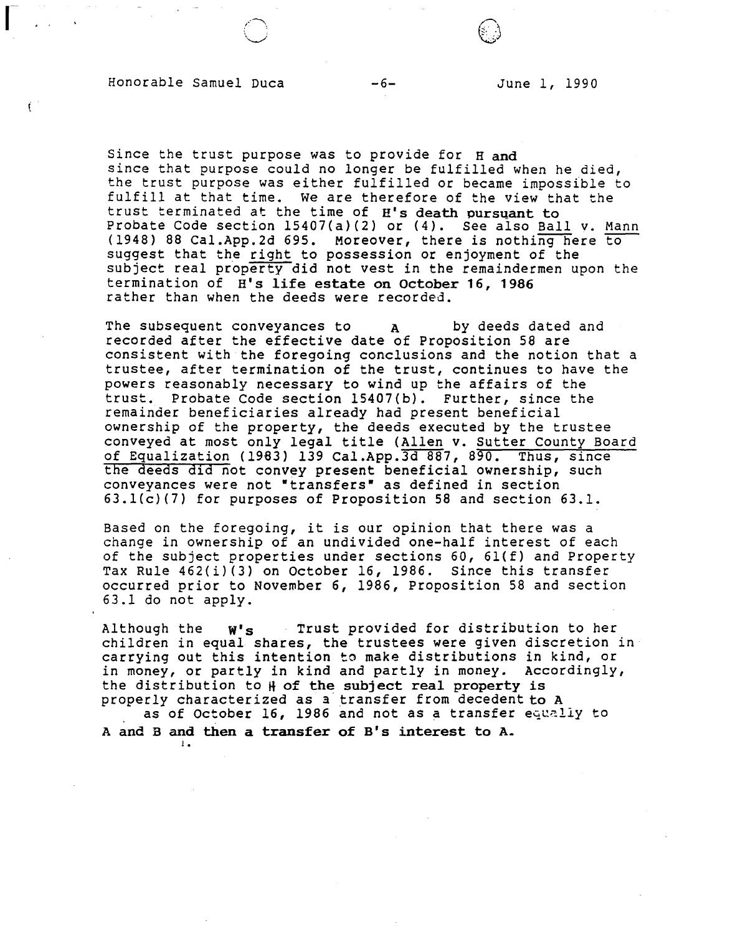### Honorable Samuel Duca -6- June 1, 1990

r .-~ ,I· :

Ý.

Since the trust purpose was to provide for  $H$  and since that purpose could no longer be fulfilled when he died, the trust purpose was either fulfilled or became impossible to fulfill at that time. We are therefore of the view that the trust terminated at the time of H's death pursuant to Probate Code section 15407(a)(2) or (4). See also Ball v. Mann (1948) 88 Cal.App.2d 695. Moreover, there is nothing here to suggest that the right to possession or enjoyment of the subject real property did not vest in the remaindermen upon the termination of H's life **estate on October 16, 1986**  rather than when the deeds **were** recorded.

The subsequent conveyances to a by deeds dated and recorded after the effective date of Proposition 58 are consistent with the foregoing conclusions and the notion that a trustee, after termination of the trust, continues to have the powers reasonably necessary to wind up the affairs of the trust. Probate Code section 15407(b). Further, since the remainder beneficiaries already had present beneficial ownership of the property, the deeds executed by the trustee conveyed at most only legal title (Allen v. Sutter County Board of Equalization (1983) 139 Cal.App.3d 887, 890. Thus, since the deeds did not convey present beneficial ownership, such conveyances were not "transfers" as defined in section 63.l(c)(7) for purposes of Proposition 58 and section 63.1.

Based on the foregoing, it is our opinion that there was a change in ownership of an undivided one-half interest of each of the subject properties under sections  $60, 61(f)$  and Property Tax Rule 462(i)(3) on October 16, 1986. Since this transfer occurred prior to November 6, 1986, Proposition 58 and section 63.1 do not apply.

Although the  $W^s$ s Trust provided for distribution to her children in equal shares, the trustees were given discretion in carrying out this intention to make distributions in kind, or in money, or partly in kind and partly in money. Accordingly, the distribution to  $\sharp$  of the subject real property is properly characterized as a transfer from decedent to A as of October 16, 1986 and not as a transfer equally to

A and Band then a transfer of B's interest to A.

J •